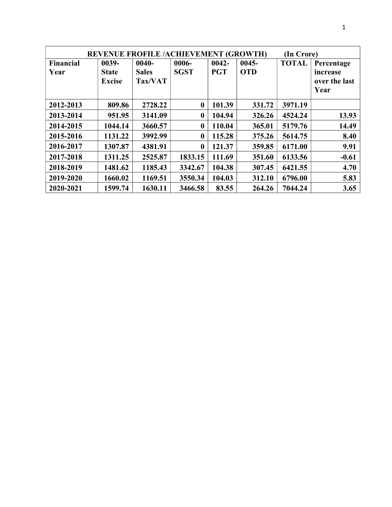| <b>REVENUE FROFILE /ACHIEVEMENT (GROWTH)</b><br>(In Crore) |               |              |                  |            |            |              |               |
|------------------------------------------------------------|---------------|--------------|------------------|------------|------------|--------------|---------------|
| <b>Financial</b>                                           | 0039-         | $0040 -$     | 0006-            | $0042 -$   | $0045 -$   | <b>TOTAL</b> | Percentage    |
| Year                                                       | <b>State</b>  | <b>Sales</b> | <b>SGST</b>      | <b>PGT</b> | <b>OTD</b> |              | increase      |
|                                                            | <b>Excise</b> | Tax/VAT      |                  |            |            |              | over the last |
|                                                            |               |              |                  |            |            |              | Year          |
| 2012-2013                                                  | 809.86        | 2728.22      | $\bf{0}$         | 101.39     | 331.72     | 3971.19      |               |
| 2013-2014                                                  | 951.95        | 3141.09      | $\bf{0}$         | 104.94     | 326.26     | 4524.24      | 13.93         |
| 2014-2015                                                  | 1044.14       | 3660.57      | $\mathbf{0}$     | 110.04     | 365.01     | 5179.76      | 14.49         |
| 2015-2016                                                  | 1131.22       | 3992.99      | $\mathbf{0}$     | 115.28     | 375.26     | 5614.75      | 8.40          |
| 2016-2017                                                  | 1307.87       | 4381.91      | $\boldsymbol{0}$ | 121.37     | 359.85     | 6171.00      | 9.91          |
| 2017-2018                                                  | 1311.25       | 2525.87      | 1833.15          | 111.69     | 351.60     | 6133.56      | $-0.61$       |
| 2018-2019                                                  | 1481.62       | 1185.43      | 3342.67          | 104.38     | 307.45     | 6421.55      | 4.70          |
| 2019-2020                                                  | 1660.02       | 1169.51      | 3550.34          | 104.03     | 312.10     | 6796.00      | 5.83          |
| 2020-2021                                                  | 1599.74       | 1630.11      | 3466.58          | 83.55      | 264.26     | 7044.24      | 3.65          |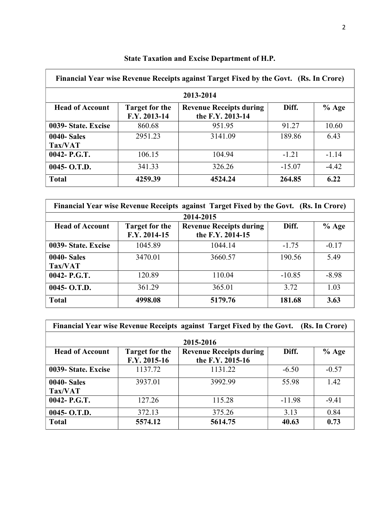| Financial Year wise Revenue Receipts against Target Fixed by the Govt. (Rs. In Crore) |                                       |                                                    |          |         |  |  |  |  |
|---------------------------------------------------------------------------------------|---------------------------------------|----------------------------------------------------|----------|---------|--|--|--|--|
|                                                                                       | 2013-2014                             |                                                    |          |         |  |  |  |  |
| <b>Head of Account</b>                                                                | <b>Target for the</b><br>F.Y. 2013-14 | <b>Revenue Receipts during</b><br>the F.Y. 2013-14 | Diff.    | $%$ Age |  |  |  |  |
| 0039- State. Excise                                                                   | 860.68                                | 951.95                                             | 91.27    | 10.60   |  |  |  |  |
| <b>0040-Sales</b><br>Tax/VAT                                                          | 2951.23                               | 3141.09                                            | 189.86   | 6.43    |  |  |  |  |
| 0042- P.G.T.                                                                          | 106.15                                | 104.94                                             | $-1.21$  | $-1.14$ |  |  |  |  |
| $0045 - 0. T.D.$                                                                      | 341.33                                | 326.26                                             | $-15.07$ | $-4.42$ |  |  |  |  |
| <b>Total</b>                                                                          | 4259.39                               | 4524.24                                            | 264.85   | 6.22    |  |  |  |  |

## State Taxation and Excise Department of H.P.

| Financial Year wise Revenue Receipts against Target Fixed by the Govt. (Rs. In Crore) |                                       |                                                    |          |         |  |
|---------------------------------------------------------------------------------------|---------------------------------------|----------------------------------------------------|----------|---------|--|
|                                                                                       |                                       | 2014-2015                                          |          |         |  |
| <b>Head of Account</b>                                                                | <b>Target for the</b><br>F.Y. 2014-15 | <b>Revenue Receipts during</b><br>the F.Y. 2014-15 | Diff.    | $%$ Age |  |
| 0039- State. Excise                                                                   | 1045.89                               | 1044.14                                            | $-1.75$  | $-0.17$ |  |
| <b>0040-Sales</b><br>Tax/VAT                                                          | 3470.01                               | 3660.57                                            | 190.56   | 5.49    |  |
| 0042- P.G.T.                                                                          | 120.89                                | 110.04                                             | $-10.85$ | $-8.98$ |  |
| $0045 - O.T.D.$                                                                       | 361.29                                | 365.01                                             | 3.72     | 1.03    |  |
| <b>Total</b>                                                                          | 4998.08                               | 5179.76                                            | 181.68   | 3.63    |  |

| Financial Year wise Revenue Receipts against Target Fixed by the Govt. (Rs. In Crore) |                                       |                                                    |          |         |  |  |  |
|---------------------------------------------------------------------------------------|---------------------------------------|----------------------------------------------------|----------|---------|--|--|--|
| 2015-2016                                                                             |                                       |                                                    |          |         |  |  |  |
| <b>Head of Account</b>                                                                | <b>Target for the</b><br>F.Y. 2015-16 | <b>Revenue Receipts during</b><br>the F.Y. 2015-16 | Diff.    | $%$ Age |  |  |  |
| 0039- State. Excise                                                                   | 1137.72                               | 1131.22                                            | $-6.50$  | $-0.57$ |  |  |  |
| <b>0040-Sales</b><br>Tax/VAT                                                          | 3937.01                               | 3992.99                                            | 55.98    | 1.42    |  |  |  |
| 0042- P.G.T.                                                                          | 127.26                                | 115.28                                             | $-11.98$ | $-9.41$ |  |  |  |
| $0045 - 0. T.D.$                                                                      | 372.13                                | 375.26                                             | 3.13     | 0.84    |  |  |  |
| <b>Total</b>                                                                          | 5574.12                               | 5614.75                                            | 40.63    | 0.73    |  |  |  |

h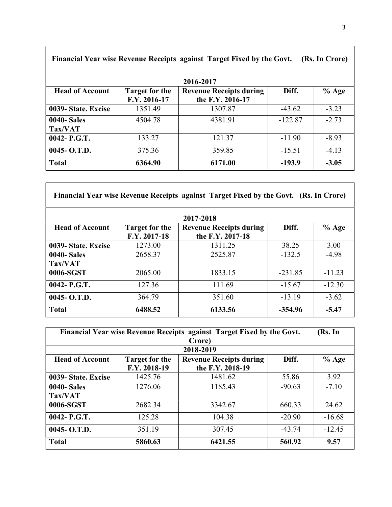| Financial Year wise Revenue Receipts against Target Fixed by the Govt. (Rs. In Crore) |                                       |                                                    |           |         |  |  |  |
|---------------------------------------------------------------------------------------|---------------------------------------|----------------------------------------------------|-----------|---------|--|--|--|
| 2016-2017                                                                             |                                       |                                                    |           |         |  |  |  |
| <b>Head of Account</b>                                                                | <b>Target for the</b><br>F.Y. 2016-17 | <b>Revenue Receipts during</b><br>the F.Y. 2016-17 | Diff.     | $%$ Age |  |  |  |
| 0039- State. Excise                                                                   | 1351.49                               | 1307.87                                            | $-43.62$  | $-3.23$ |  |  |  |
| <b>0040-Sales</b><br>Tax/VAT                                                          | 4504.78                               | 4381.91                                            | $-122.87$ | $-2.73$ |  |  |  |
| 0042- P.G.T.                                                                          | 133.27                                | 121.37                                             | $-11.90$  | $-8.93$ |  |  |  |
| 0045- O.T.D.                                                                          | 375.36                                | 359.85                                             | $-15.51$  | $-4.13$ |  |  |  |
| <b>Total</b>                                                                          | 6364.90                               | 6171.00                                            | $-193.9$  | $-3.05$ |  |  |  |

| Financial Year wise Revenue Receipts against Target Fixed by the Govt. (Rs. In Crore) |                                       |                                                    |           |          |  |  |  |  |
|---------------------------------------------------------------------------------------|---------------------------------------|----------------------------------------------------|-----------|----------|--|--|--|--|
|                                                                                       | 2017-2018                             |                                                    |           |          |  |  |  |  |
| <b>Head of Account</b>                                                                | <b>Target for the</b><br>F.Y. 2017-18 | <b>Revenue Receipts during</b><br>the F.Y. 2017-18 | Diff.     | $%$ Age  |  |  |  |  |
| 0039- State. Excise                                                                   | 1273.00                               | 1311.25                                            | 38.25     | 3.00     |  |  |  |  |
| <b>0040-Sales</b>                                                                     | 2658.37                               | 2525.87                                            | $-132.5$  | $-4.98$  |  |  |  |  |
| Tax/VAT                                                                               |                                       |                                                    |           |          |  |  |  |  |
| 0006-SGST                                                                             | 2065.00                               | 1833.15                                            | $-231.85$ | $-11.23$ |  |  |  |  |
| $0042 - P.G.T.$                                                                       | 127.36                                | 111.69                                             | $-15.67$  | $-12.30$ |  |  |  |  |
| $0045 - O.T.D.$                                                                       | 364.79                                | 351.60                                             | $-13.19$  | $-3.62$  |  |  |  |  |
| <b>Total</b>                                                                          | 6488.52                               | 6133.56                                            | $-354.96$ | $-5.47$  |  |  |  |  |

 $\Gamma$ 

| Financial Year wise Revenue Receipts against Target Fixed by the Govt.<br>(Rs. In |                       |                                |          |          |
|-----------------------------------------------------------------------------------|-----------------------|--------------------------------|----------|----------|
|                                                                                   |                       | Crore)                         |          |          |
|                                                                                   |                       | 2018-2019                      |          |          |
| <b>Head of Account</b>                                                            | <b>Target for the</b> | <b>Revenue Receipts during</b> | Diff.    | $%$ Age  |
|                                                                                   | F.Y. 2018-19          | the F.Y. 2018-19               |          |          |
| 0039- State. Excise                                                               | 1425.76               | 1481.62                        | 55.86    | 3.92     |
| <b>0040-Sales</b>                                                                 | 1276.06               | 1185.43                        | $-90.63$ | $-7.10$  |
| Tax/VAT                                                                           |                       |                                |          |          |
| 0006-SGST                                                                         | 2682.34               | 3342.67                        | 660.33   | 24.62    |
| $0042 - P.G.T.$                                                                   | 125.28                | 104.38                         | $-20.90$ | $-16.68$ |
| $0045 - O.T.D.$                                                                   | 351.19                | 307.45                         | $-43.74$ | $-12.45$ |
| <b>Total</b>                                                                      | 5860.63               | 6421.55                        | 560.92   | 9.57     |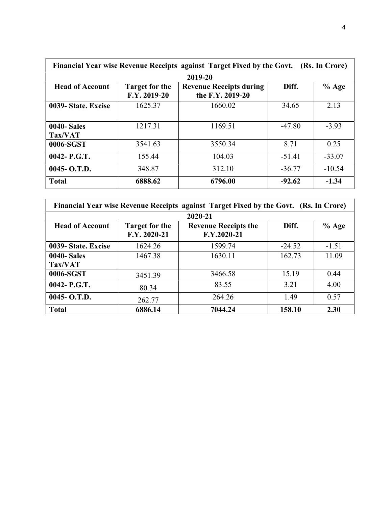| Financial Year wise Revenue Receipts against Target Fixed by the Govt. (Rs. In Crore) |                                       |                                                    |          |          |  |
|---------------------------------------------------------------------------------------|---------------------------------------|----------------------------------------------------|----------|----------|--|
|                                                                                       |                                       | 2019-20                                            |          |          |  |
| <b>Head of Account</b>                                                                | <b>Target for the</b><br>F.Y. 2019-20 | <b>Revenue Receipts during</b><br>the F.Y. 2019-20 | Diff.    | $%$ Age  |  |
| 0039- State. Excise                                                                   | 1625.37                               | 1660.02                                            | 34.65    | 2.13     |  |
| <b>0040-Sales</b><br>Tax/VAT                                                          | 1217.31                               | 1169.51                                            | $-47.80$ | $-3.93$  |  |
| 0006-SGST                                                                             | 3541.63                               | 3550.34                                            | 8.71     | 0.25     |  |
| $0042 - P.G.T.$                                                                       | 155.44                                | 104.03                                             | $-51.41$ | $-33.07$ |  |
| $0045 - O.T.D.$                                                                       | 348.87                                | 312.10                                             | $-36.77$ | $-10.54$ |  |
| <b>Total</b>                                                                          | 6888.62                               | 6796.00                                            | $-92.62$ | $-1.34$  |  |

| Financial Year wise Revenue Receipts against Target Fixed by the Govt. (Rs. In Crore) |                                                                   |             |          |         |  |  |  |
|---------------------------------------------------------------------------------------|-------------------------------------------------------------------|-------------|----------|---------|--|--|--|
|                                                                                       |                                                                   | 2020-21     |          |         |  |  |  |
| <b>Head of Account</b>                                                                | <b>Revenue Receipts the</b><br>Diff.<br>Target for the<br>$%$ Age |             |          |         |  |  |  |
|                                                                                       | F.Y. 2020-21                                                      | F.Y.2020-21 |          |         |  |  |  |
| 0039- State. Excise                                                                   | 1624.26                                                           | 1599.74     | $-24.52$ | $-1.51$ |  |  |  |
| <b>0040-Sales</b>                                                                     | 1467.38                                                           | 1630.11     | 162.73   | 11.09   |  |  |  |
| Tax/VAT                                                                               |                                                                   |             |          |         |  |  |  |
| 0006-SGST                                                                             | 3451.39                                                           | 3466.58     | 15.19    | 0.44    |  |  |  |
| 0042- P.G.T.                                                                          | 80.34                                                             | 83.55       | 3.21     | 4.00    |  |  |  |
| $0045 - 0. T.D.$                                                                      | 262.77                                                            | 264.26      | 1.49     | 0.57    |  |  |  |
| <b>Total</b>                                                                          | 6886.14                                                           | 7044.24     | 158.10   | 2.30    |  |  |  |